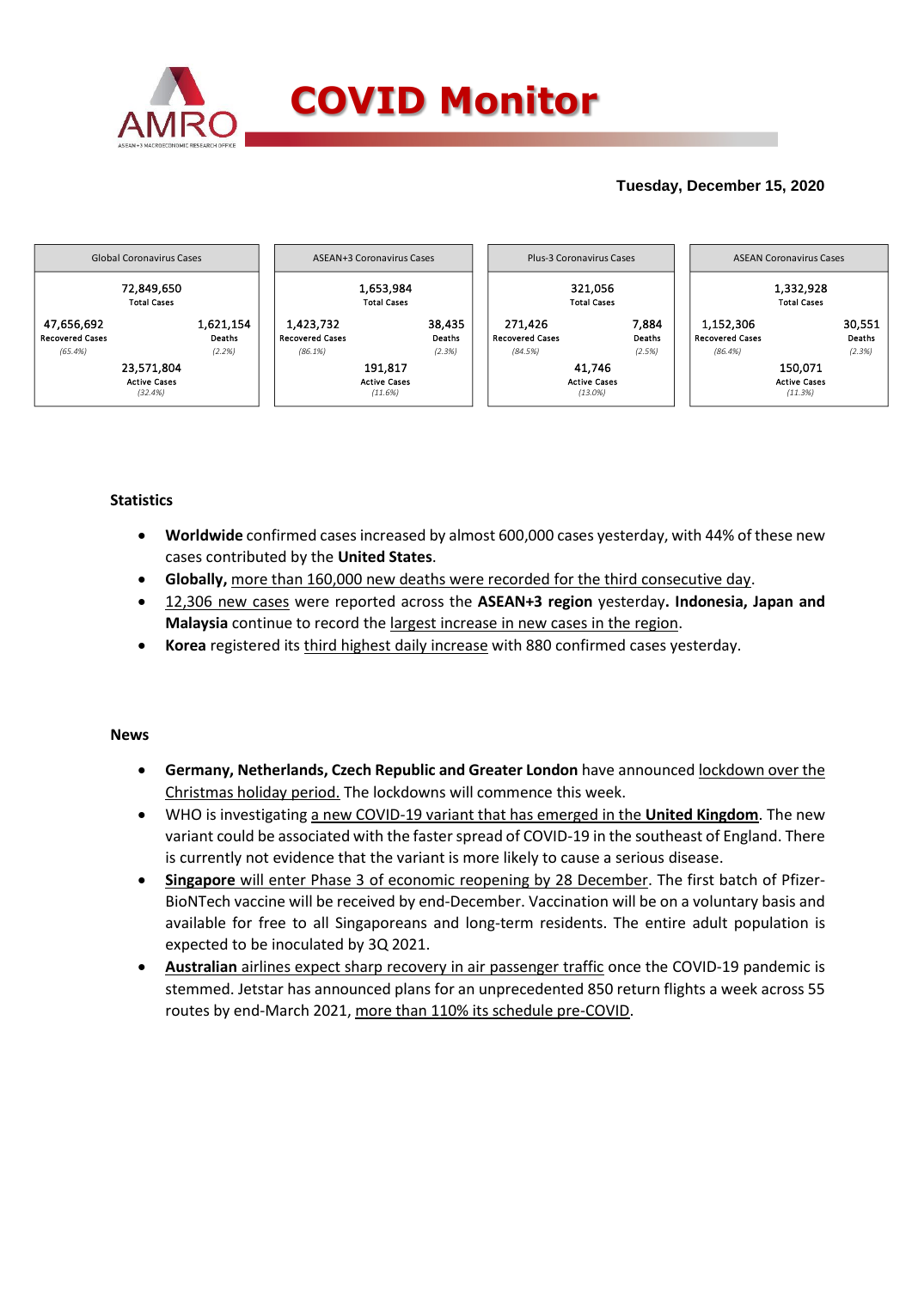

## **Tuesday, December 15, 2020**



### **Statistics**

- **Worldwide** confirmed cases increased by almost 600,000 cases yesterday, with 44% of these new cases contributed by the **United States**.
- **Globally,** more than 160,000 new deaths were recorded for the third consecutive day.
- 12,306 new cases were reported across the **ASEAN+3 region** yesterday**. Indonesia, Japan and Malaysia** continue to record the largest increase in new cases in the region.
- **Korea** registered its third highest daily increase with 880 confirmed cases yesterday.

#### **News**

- **Germany, Netherlands, Czech Republic and Greater London** have announced lockdown over the Christmas holiday period. The lockdowns will commence this week.
- WHO is investigating a new COVID-19 variant that has emerged in the **United Kingdom**. The new variant could be associated with the faster spread of COVID-19 in the southeast of England. There is currently not evidence that the variant is more likely to cause a serious disease.
- **Singapore** will enter Phase 3 of economic reopening by 28 December. The first batch of Pfizer-BioNTech vaccine will be received by end-December. Vaccination will be on a voluntary basis and available for free to all Singaporeans and long-term residents. The entire adult population is expected to be inoculated by 3Q 2021.
- **Australian** airlines expect sharp recovery in air passenger traffic once the COVID-19 pandemic is stemmed. Jetstar has announced plans for an unprecedented 850 return flights a week across 55 routes by end-March 2021, more than 110% its schedule pre-COVID.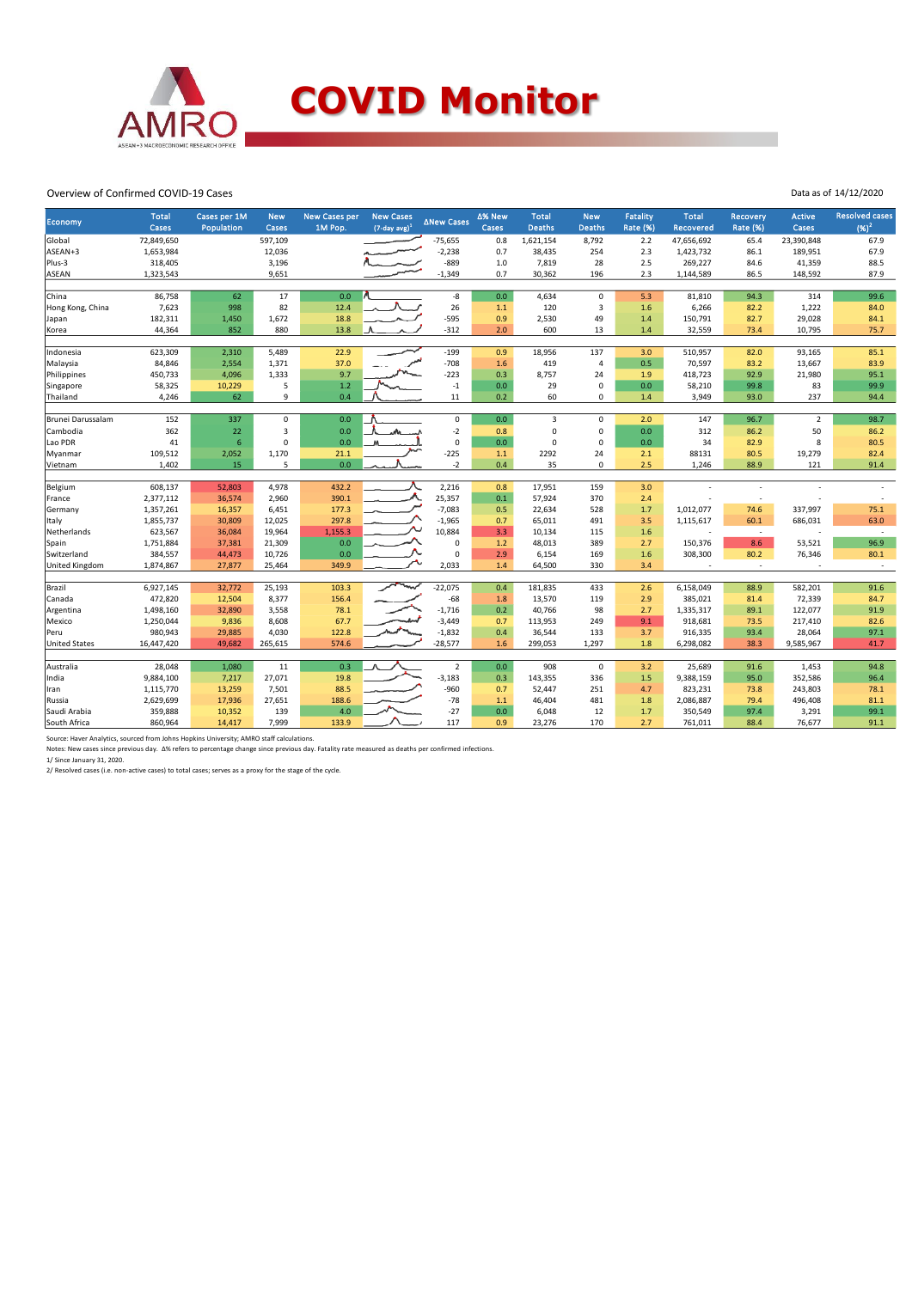

#### Overview of Confirmed COVID-19 Cases

| <b>Economy</b>       | <b>Total</b><br>Cases | Cases per 1M<br>Population | <b>New</b><br>Cases | <b>New Cases per</b><br>1M Pop. | <b>New Cases</b><br>$(7$ -day avg) $1$ | ∆New Cases     | ∆% New<br>Cases | <b>Total</b><br><b>Deaths</b> | <b>New</b><br>Deaths | <b>Fatality</b><br>Rate (%) | <b>Total</b><br><b>Recovered</b> | <b>Recovery</b><br><b>Rate (%)</b> | <b>Active</b><br><b>Cases</b> | <b>Resolved cases</b><br>$(96)^2$ |
|----------------------|-----------------------|----------------------------|---------------------|---------------------------------|----------------------------------------|----------------|-----------------|-------------------------------|----------------------|-----------------------------|----------------------------------|------------------------------------|-------------------------------|-----------------------------------|
| Global               | 72,849,650            |                            | 597,109             |                                 |                                        | $-75,655$      | 0.8             | 1,621,154                     | 8,792                | 2.2                         | 47,656,692                       | 65.4                               | 23,390,848                    | 67.9                              |
| ASEAN+3              | 1,653,984             |                            | 12,036              |                                 |                                        | $-2,238$       | 0.7             | 38,435                        | 254                  | 2.3                         | 1,423,732                        | 86.1                               | 189,951                       | 67.9                              |
| Plus-3               | 318,405               |                            | 3,196               |                                 |                                        | $-889$         | 1.0             | 7,819                         | 28                   | 2.5                         | 269,227                          | 84.6                               | 41,359                        | 88.5                              |
| <b>ASEAN</b>         | 1,323,543             |                            | 9,651               |                                 |                                        | $-1,349$       | 0.7             | 30,362                        | 196                  | 2.3                         | 1,144,589                        | 86.5                               | 148,592                       | 87.9                              |
|                      |                       |                            |                     |                                 |                                        |                |                 |                               |                      |                             |                                  |                                    |                               |                                   |
| China                | 86,758                | 62                         | 17                  | 0.0                             |                                        | $\mbox{-}8$    | $0.0\,$         | 4,634                         | $\mathbf 0$          | 5.3                         | 81,810                           | 94.3                               | 314                           | 99.6                              |
| Hong Kong, China     | 7,623                 | 998                        | 82                  | 12.4                            |                                        | 26             | 1.1             | 120                           | 3                    | 1.6                         | 6,266                            | 82.2                               | 1,222                         | 84.0                              |
| Japan                | 182,311               | 1,450                      | 1,672               | 18.8                            |                                        | $-595$         | 0.9             | 2,530                         | 49                   | 1.4                         | 150,791                          | 82.7                               | 29,028                        | 84.1                              |
| Korea                | 44,364                | 852                        | 880                 | 13.8                            |                                        | $-312$         | 2.0             | 600                           | 13                   | 1.4                         | 32,559                           | 73.4                               | 10,795                        | 75.7                              |
|                      |                       |                            |                     |                                 |                                        |                |                 |                               |                      |                             |                                  |                                    |                               |                                   |
| Indonesia            | 623,309               | 2,310                      | 5,489               | 22.9                            |                                        | $-199$         | 0.9             | 18,956                        | 137                  | 3.0                         | 510,957                          | 82.0                               | 93,165                        | 85.1                              |
| Malaysia             | 84,846                | 2,554                      | 1,371               | 37.0                            |                                        | $-708$         | 1.6             | 419                           | $\overline{4}$       | 0.5                         | 70,597                           | 83.2                               | 13,667                        | 83.9                              |
| Philippines          | 450,733               | 4,096                      | 1,333               | 9.7                             |                                        | $-223$         | 0.3             | 8,757                         | 24                   | 1.9                         | 418,723                          | 92.9                               | 21,980                        | 95.1                              |
| Singapore            | 58,325                | 10,229                     | 5                   | 1.2                             |                                        | $-1$           | 0.0             | 29                            | $\mathbf 0$          | 0.0                         | 58,210                           | 99.8                               | 83                            | 99.9                              |
| Thailand             | 4,246                 | 62                         | 9                   | 0.4                             |                                        | 11             | 0.2             | 60                            | 0                    | 1.4                         | 3,949                            | 93.0                               | 237                           | 94.4                              |
| Brunei Darussalam    | 152                   | 337                        | $\mathbf 0$         | 0.0                             |                                        | 0              | 0.0             | 3                             | $\mathbf 0$          | 2.0                         | 147                              | 96.7                               | $\overline{2}$                | 98.7                              |
| Cambodia             | 362                   | 22                         | 3                   | 0.0                             |                                        | $-2$           | 0.8             | $\mathbf 0$                   | $\mathsf 0$          | 0.0                         | 312                              | 86.2                               | 50                            | 86.2                              |
|                      | 41                    | 6                          | $\Omega$            | 0.0                             |                                        | $\mathbf 0$    | 0.0             | $\Omega$                      | $\mathbf 0$          | 0.0                         | 34                               | 82.9                               | 8                             | 80.5                              |
| Lao PDR              |                       |                            |                     | 21.1                            |                                        | $-225$         |                 | 2292                          | 24                   | 2.1                         | 88131                            | 80.5                               |                               | 82.4                              |
| Myanmar              | 109,512<br>1,402      | 2,052<br>15                | 1,170<br>5          | 0.0                             |                                        | $-2$           | 1.1             | 35                            | 0                    | 2.5                         |                                  |                                    | 19,279                        |                                   |
| Vietnam              |                       |                            |                     |                                 |                                        |                | 0.4             |                               |                      |                             | 1,246                            | 88.9                               | 121                           | 91.4                              |
| Belgium              | 608,137               | 52,803                     | 4,978               | 432.2                           |                                        | 2,216          | 0.8             | 17,951                        | 159                  | 3.0                         |                                  |                                    |                               |                                   |
| France               | 2,377,112             | 36,574                     | 2,960               | 390.1                           |                                        | 25,357         | 0.1             | 57,924                        | 370                  | 2.4                         |                                  |                                    |                               |                                   |
| Germany              | 1,357,261             | 16,357                     | 6,451               | 177.3                           |                                        | $-7,083$       | 0.5             | 22,634                        | 528                  | 1.7                         | 1,012,077                        | 74.6                               | 337,997                       | 75.1                              |
| Italy                | 1,855,737             | 30,809                     | 12,025              | 297.8                           |                                        | $-1,965$       | 0.7             | 65,011                        | 491                  | 3.5                         | 1,115,617                        | 60.1                               | 686,031                       | 63.0                              |
| Netherlands          | 623,567               | 36,084                     | 19,964              | 1,155.3                         |                                        | 10,884         | 3.3             | 10,134                        | 115                  | 1.6                         |                                  | $\sim$                             |                               | $\overline{\phantom{a}}$          |
| Spain                | 1,751,884             | 37,381                     | 21,309              | 0.0                             |                                        | $\mathbf 0$    | 1.2             | 48,013                        | 389                  | 2.7                         | 150,376                          | 8.6                                | 53,521                        | 96.9                              |
| Switzerland          | 384,557               | 44,473                     | 10,726              | 0.0                             |                                        | 0              | 2.9             | 6,154                         | 169                  | 1.6                         | 308,300                          | 80.2                               | 76,346                        | 80.1                              |
| United Kingdom       | 1,874,867             | 27,877                     | 25,464              | 349.9                           |                                        | 2,033          | 1.4             | 64,500                        | 330                  | 3.4                         | $\overline{\phantom{a}}$         | $\sim$                             | $\sim$                        | $\sim$                            |
|                      |                       |                            |                     |                                 |                                        |                |                 |                               |                      |                             |                                  |                                    |                               |                                   |
| Brazil               | 6,927,145             | 32,772                     | 25,193              | 103.3                           | مهيسه                                  | $-22,075$      | 0.4             | 181,835                       | 433                  | 2.6                         | 6,158,049                        | 88.9                               | 582,201                       | 91.6                              |
| Canada               | 472,820               | 12,504                     | 8,377               | 156.4                           |                                        | $-68$          | 1.8             | 13,570                        | 119                  | 2.9                         | 385,021                          | 81.4                               | 72,339                        | 84.7                              |
| Argentina            | 1,498,160             | 32,890                     | 3,558               | 78.1                            |                                        | $-1,716$       | 0.2             | 40,766                        | 98                   | 2.7                         | 1,335,317                        | 89.1                               | 122,077                       | 91.9                              |
| Mexico               | 1,250,044             | 9,836                      | 8,608               | 67.7                            |                                        | $-3,449$       | 0.7             | 113,953                       | 249                  | 9.1                         | 918,681                          | 73.5                               | 217,410                       | 82.6                              |
| Peru                 | 980,943               | 29,885                     | 4,030               | 122.8                           |                                        | $-1,832$       | 0.4             | 36,544                        | 133                  | 3.7                         | 916,335                          | 93.4                               | 28,064                        | 97.1                              |
| <b>United States</b> | 16,447,420            | 49,682                     | 265,615             | 574.6                           |                                        | $-28,577$      | 1.6             | 299,053                       | 1,297                | 1.8                         | 6,298,082                        | 38.3                               | 9,585,967                     | 41.7                              |
|                      |                       |                            |                     |                                 |                                        |                |                 |                               |                      |                             |                                  |                                    |                               |                                   |
| Australia            | 28,048                | 1,080                      | 11                  | 0.3                             |                                        | $\overline{2}$ | 0.0             | 908                           | $\mathbf 0$          | 3.2                         | 25,689                           | 91.6                               | 1,453                         | 94.8                              |
| India                | 9,884,100             | 7,217                      | 27,071              | 19.8                            |                                        | $-3,183$       | 0.3             | 143,355                       | 336                  | 1.5                         | 9,388,159                        | 95.0                               | 352,586                       | 96.4                              |
| Iran                 | 1,115,770             | 13,259                     | 7,501               | 88.5                            |                                        | $-960$         | 0.7             | 52,447                        | 251                  | 4.7                         | 823,231                          | 73.8                               | 243,803                       | 78.1                              |
| Russia               | 2,629,699             | 17,936                     | 27,651              | 188.6                           |                                        | $-78$          | $1.1\,$         | 46,404                        | 481                  | 1.8                         | 2,086,887                        | 79.4                               | 496,408                       | 81.1                              |
| Saudi Arabia         | 359,888               | 10,352                     | 139                 | 4.0                             |                                        | $-27$          | 0.0             | 6,048                         | 12                   | 1.7                         | 350,549                          | 97.4                               | 3,291                         | 99.1                              |
| South Africa         | 860,964               | 14,417                     | 7,999               | 133.9                           |                                        | 117            | 0.9             | 23,276                        | 170                  | 2.7                         | 761,011                          | 88.4                               | 76,677                        | 91.1                              |

Source: Haver Analytics, sourced from Johns Hopkins University; AMRO staff calculations.<br>Notes: New cases since previous day. ∆% refers to percentage change since previous day. Fatality rate measured as deaths per confirme

Data as of 14/12/2020